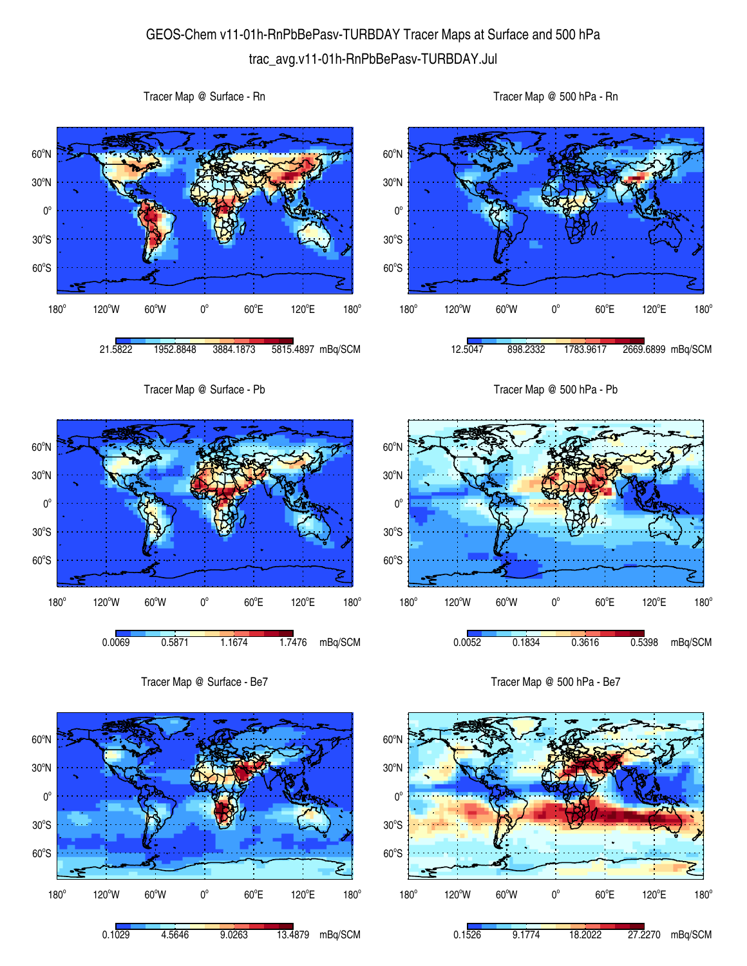## GEOS-Chem v11-01h-RnPbBePasv-TURBDAY Tracer Maps at Surface and 500 hPa trac\_avg.v11-01h-RnPbBePasv-TURBDAY.Jul

 $60^{\circ}$ S  $30^{\circ}$ S  $0^{\circ}$ 30<sup>°</sup>N 60<sup>°</sup>N 180°  $120^{\circ}$ W 60 $^{\circ}$ W 0 $^{\circ}$  $60^{\circ}$ E 120°E  $180^\circ$ 21.5822 1952.8848 3884.1873 5815.4897 mBq/SCM  $60^{\circ}$ S  $30^{\circ}$ S  $0^{\circ}$ 30<sup>°</sup>N 60<sup>°</sup>N  $180^\circ$ 120°W 60°W 0°  $60^{\circ}$ E 120°E  $180^\circ$ 12.5047 898.2332 1783.9617 2669.6899 mBq/SCM Tracer Map @ Surface - Pb 60°S  $30^{\circ}$ S  $0^{\circ}$ 30<sup>°</sup>N 60<sup>°</sup>N 180°  $120^{\circ}$ W 60 $^{\circ}$ W 0 $^{\circ}$  $60^{\circ}$ E 120°E  $180^\circ$ 0.0069 0.5871 1.1674 1.7476 mBq/SCM Tracer Map @ 500 hPa - Pb 60°S  $30^{\circ}$ S  $0^{\circ}$ 30<sup>°</sup>N 60<sup>°</sup>N 180°  $120^{\circ}$ W 60 $^{\circ}$ W 0 $^{\circ}$  $60^{\circ}$ E 120°E  $180^\circ$ 0.0052 0.1834 0.3616 0.5398 mBq/SCM Tracer Map @ Surface - Be7 Tracer Map @ 500 hPa - Be7



Tracer Map @ Surface - Rn



Tracer Map @ 500 hPa - Rn